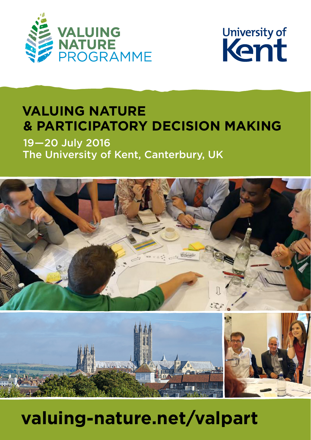



### **VALUING NATURE & PARTICIPATORY DECISION MAKING**

19 — 20 July 2016 The University of Kent, Canterbury, UK





# **valuing-nature.net/valpart**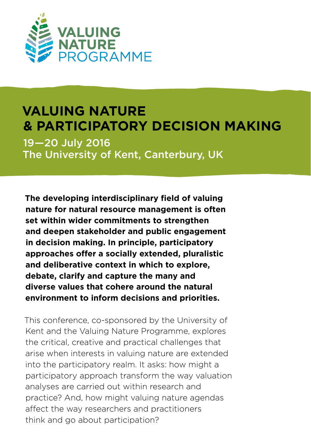

### **VALUING NATURE & PARTICIPATORY DECISION MAKING**

19 — 20 July 2016 The University of Kent, Canterbury, UK

**The developing interdisciplinary field of valuing nature for natural resource management is often set within wider commitments to strengthen and deepen stakeholder and public engagement in decision making. In principle, participatory approaches offer a socially extended, pluralistic and deliberative context in which to explore, debate, clarify and capture the many and diverse values that cohere around the natural environment to inform decisions and priorities.**

This conference, co-sponsored by the University of Kent and the Valuing Nature Programme, explores the critical, creative and practical challenges that arise when interests in valuing nature are extended into the participatory realm. It asks: how might a participatory approach transform the way valuation analyses are carried out within research and practice? And, how might valuing nature agendas affect the way researchers and practitioners think and go about participation?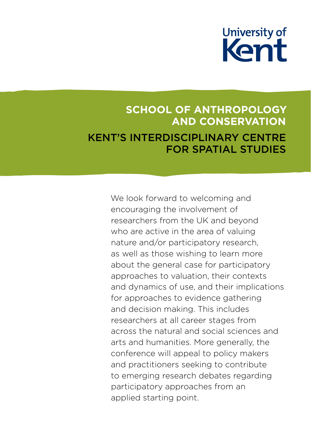

#### **SCHOOL OF ANTHROPOLOGY AND CONSERVATION** KENT'S INTERDISCIPLINARY CENTRE FOR SPATIAL STUDIES

We look forward to welcoming and encouraging the involvement of researchers from the UK and beyond who are active in the area of valuing nature and/or participatory research, as well as those wishing to learn more about the general case for participatory approaches to valuation, their contexts and dynamics of use, and their implications for approaches to evidence gathering and decision making. This includes researchers at all career stages from across the natural and social sciences and arts and humanities. More generally, the conference will appeal to policy makers and practitioners seeking to contribute to emerging research debates regarding participatory approaches from an applied starting point.